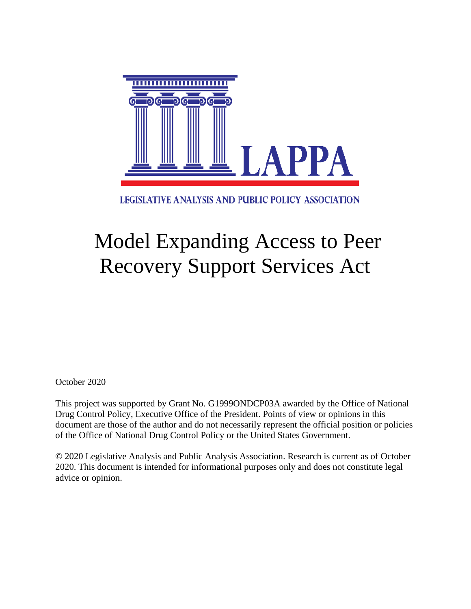

LEGISLATIVE ANALYSIS AND PUBLIC POLICY ASSOCIATION

# Model Expanding Access to Peer Recovery Support Services Act

October 2020

This project was supported by Grant No. G1999ONDCP03A awarded by the Office of National Drug Control Policy, Executive Office of the President. Points of view or opinions in this document are those of the author and do not necessarily represent the official position or policies of the Office of National Drug Control Policy or the United States Government.

© 2020 Legislative Analysis and Public Analysis Association. Research is current as of October 2020. This document is intended for informational purposes only and does not constitute legal advice or opinion.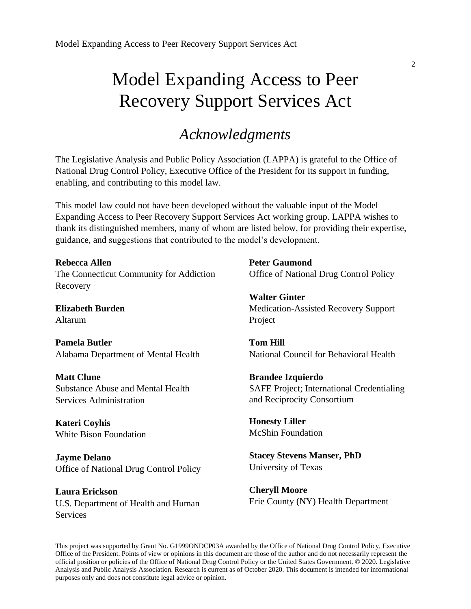## Model Expanding Access to Peer Recovery Support Services Act

## *Acknowledgments*

The Legislative Analysis and Public Policy Association (LAPPA) is grateful to the Office of National Drug Control Policy, Executive Office of the President for its support in funding, enabling, and contributing to this model law.

This model law could not have been developed without the valuable input of the Model Expanding Access to Peer Recovery Support Services Act working group. LAPPA wishes to thank its distinguished members, many of whom are listed below, for providing their expertise, guidance, and suggestions that contributed to the model's development.

**Rebecca Allen** The Connecticut Community for Addiction Recovery

**Elizabeth Burden** Altarum

**Pamela Butler** Alabama Department of Mental Health

**Matt Clune** Substance Abuse and Mental Health Services Administration

**Kateri Coyhis** White Bison Foundation

**Jayme Delano** Office of National Drug Control Policy

**Laura Erickson**  U.S. Department of Health and Human **Services** 

**Peter Gaumond** Office of National Drug Control Policy

**Walter Ginter** Medication-Assisted Recovery Support Project

**Tom Hill** National Council for Behavioral Health

**Brandee Izquierdo** SAFE Project; International Credentialing and Reciprocity Consortium

**Honesty Liller** McShin Foundation

**Stacey Stevens Manser, PhD** University of Texas

**Cheryll Moore** Erie County (NY) Health Department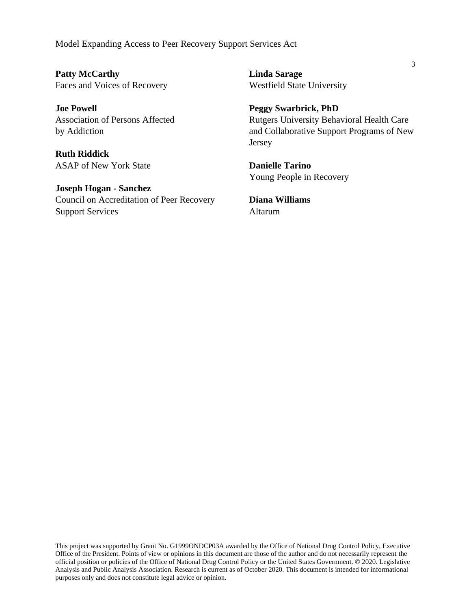Model Expanding Access to Peer Recovery Support Services Act

**Patty McCarthy** Faces and Voices of Recovery

**Joe Powell** Association of Persons Affected by Addiction

**Ruth Riddick** ASAP of New York State

**Joseph Hogan - Sanchez** Council on Accreditation of Peer Recovery Support Services

**Linda Sarage** Westfield State University

**Peggy Swarbrick, PhD** Rutgers University Behavioral Health Care and Collaborative Support Programs of New Jersey

**Danielle Tarino** Young People in Recovery

**Diana Williams** Altarum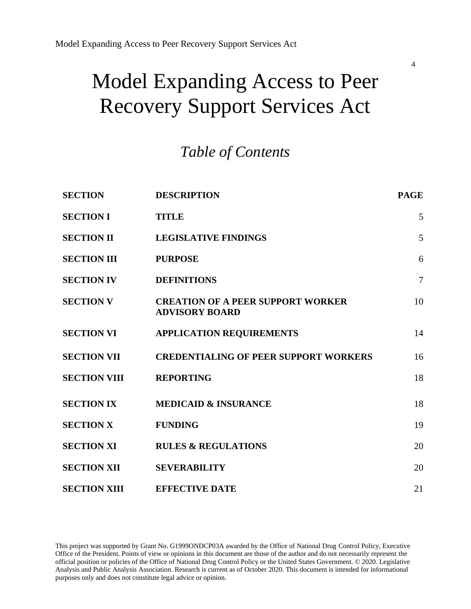# Model Expanding Access to Peer Recovery Support Services Act

## *Table of Contents*

| <b>SECTION</b>      | <b>DESCRIPTION</b>                                                | <b>PAGE</b>    |
|---------------------|-------------------------------------------------------------------|----------------|
| <b>SECTION I</b>    | <b>TITLE</b>                                                      | 5              |
| <b>SECTION II</b>   | <b>LEGISLATIVE FINDINGS</b>                                       | 5              |
| <b>SECTION III</b>  | <b>PURPOSE</b>                                                    | 6              |
| <b>SECTION IV</b>   | <b>DEFINITIONS</b>                                                | $\overline{7}$ |
| <b>SECTION V</b>    | <b>CREATION OF A PEER SUPPORT WORKER</b><br><b>ADVISORY BOARD</b> | 10             |
| <b>SECTION VI</b>   | <b>APPLICATION REQUIREMENTS</b>                                   | 14             |
| <b>SECTION VII</b>  | <b>CREDENTIALING OF PEER SUPPORT WORKERS</b>                      | 16             |
| <b>SECTION VIII</b> | <b>REPORTING</b>                                                  | 18             |
| <b>SECTION IX</b>   | <b>MEDICAID &amp; INSURANCE</b>                                   | 18             |
| <b>SECTION X</b>    | <b>FUNDING</b>                                                    | 19             |
| <b>SECTION XI</b>   | <b>RULES &amp; REGULATIONS</b>                                    | 20             |
| <b>SECTION XII</b>  | <b>SEVERABILITY</b>                                               | 20             |
| <b>SECTION XIII</b> | <b>EFFECTIVE DATE</b>                                             | 21             |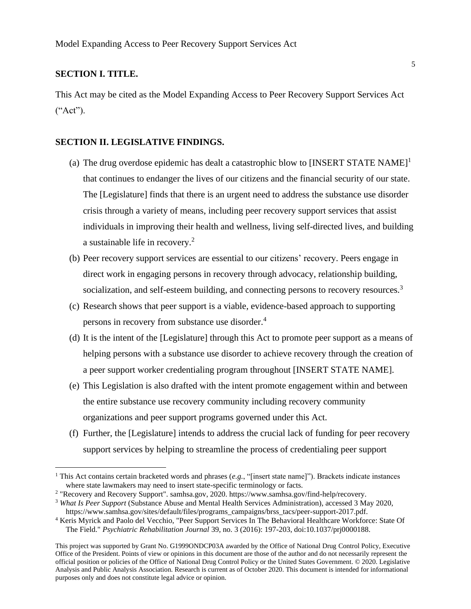#### **SECTION I. TITLE.**

This Act may be cited as the Model Expanding Access to Peer Recovery Support Services Act ("Act").

#### **SECTION II. LEGISLATIVE FINDINGS.**

- (a) The drug overdose epidemic has dealt a catastrophic blow to  $[INSERT STATE NAME]$ <sup>1</sup> that continues to endanger the lives of our citizens and the financial security of our state. The [Legislature] finds that there is an urgent need to address the substance use disorder crisis through a variety of means, including peer recovery support services that assist individuals in improving their health and wellness, living self-directed lives, and building a sustainable life in recovery.<sup>2</sup>
- (b) Peer recovery support services are essential to our citizens' recovery. Peers engage in direct work in engaging persons in recovery through advocacy, relationship building, socialization, and self-esteem building, and connecting persons to recovery resources.<sup>3</sup>
- (c) Research shows that peer support is a viable, evidence-based approach to supporting persons in recovery from substance use disorder. 4
- (d) It is the intent of the [Legislature] through this Act to promote peer support as a means of helping persons with a substance use disorder to achieve recovery through the creation of a peer support worker credentialing program throughout [INSERT STATE NAME].
- (e) This Legislation is also drafted with the intent promote engagement within and between the entire substance use recovery community including recovery community organizations and peer support programs governed under this Act.
- (f) Further, the [Legislature] intends to address the crucial lack of funding for peer recovery support services by helping to streamline the process of credentialing peer support

<sup>&</sup>lt;sup>1</sup> This Act contains certain bracketed words and phrases  $(e.g., "[insert state name]").$  Brackets indicate instances where state lawmakers may need to insert state-specific terminology or facts.

<sup>&</sup>lt;sup>2</sup> "Recovery and Recovery Support". samhsa.gov, 2020. https://www.samhsa.gov/find-help/recovery.

<sup>3</sup> *What Is Peer Support* (Substance Abuse and Mental Health Services Administration), accessed 3 May 2020, https://www.samhsa.gov/sites/default/files/programs\_campaigns/brss\_tacs/peer-support-2017.pdf.

<sup>4</sup> Keris Myrick and Paolo del Vecchio, "Peer Support Services In The Behavioral Healthcare Workforce: State Of The Field." *Psychiatric Rehabilitation Journal* 39, no. 3 (2016): 197-203, doi:10.1037/prj0000188.

This project was supported by Grant No. G1999ONDCP03A awarded by the Office of National Drug Control Policy, Executive Office of the President. Points of view or opinions in this document are those of the author and do not necessarily represent the official position or policies of the Office of National Drug Control Policy or the United States Government. © 2020. Legislative Analysis and Public Analysis Association. Research is current as of October 2020. This document is intended for informational purposes only and does not constitute legal advice or opinion.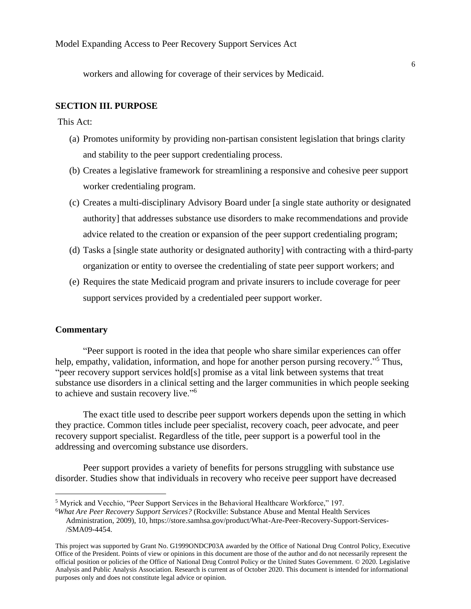workers and allowing for coverage of their services by Medicaid.

#### **SECTION III. PURPOSE**

This Act:

- (a) Promotes uniformity by providing non-partisan consistent legislation that brings clarity and stability to the peer support credentialing process.
- (b) Creates a legislative framework for streamlining a responsive and cohesive peer support worker credentialing program.
- (c) Creates a multi-disciplinary Advisory Board under [a single state authority or designated authority] that addresses substance use disorders to make recommendations and provide advice related to the creation or expansion of the peer support credentialing program;
- (d) Tasks a [single state authority or designated authority] with contracting with a third-party organization or entity to oversee the credentialing of state peer support workers; and
- (e) Requires the state Medicaid program and private insurers to include coverage for peer support services provided by a credentialed peer support worker.

#### **Commentary**

"Peer support is rooted in the idea that people who share similar experiences can offer help, empathy, validation, information, and hope for another person pursing recovery."<sup>5</sup> Thus, "peer recovery support services hold[s] promise as a vital link between systems that treat substance use disorders in a clinical setting and the larger communities in which people seeking to achieve and sustain recovery live."<sup>6</sup>

The exact title used to describe peer support workers depends upon the setting in which they practice. Common titles include peer specialist, recovery coach, peer advocate, and peer recovery support specialist. Regardless of the title, peer support is a powerful tool in the addressing and overcoming substance use disorders.

Peer support provides a variety of benefits for persons struggling with substance use disorder. Studies show that individuals in recovery who receive peer support have decreased

<sup>5</sup> Myrick and Vecchio, "Peer Support Services in the Behavioral Healthcare Workforce," 197.

<sup>6</sup>*What Are Peer Recovery Support Services?* (Rockville: Substance Abuse and Mental Health Services Administration, 2009), 10, https://store.samhsa.gov/product/What-Are-Peer-Recovery-Support-Services- /SMA09-4454.

This project was supported by Grant No. G1999ONDCP03A awarded by the Office of National Drug Control Policy, Executive Office of the President. Points of view or opinions in this document are those of the author and do not necessarily represent the official position or policies of the Office of National Drug Control Policy or the United States Government. © 2020. Legislative Analysis and Public Analysis Association. Research is current as of October 2020. This document is intended for informational purposes only and does not constitute legal advice or opinion.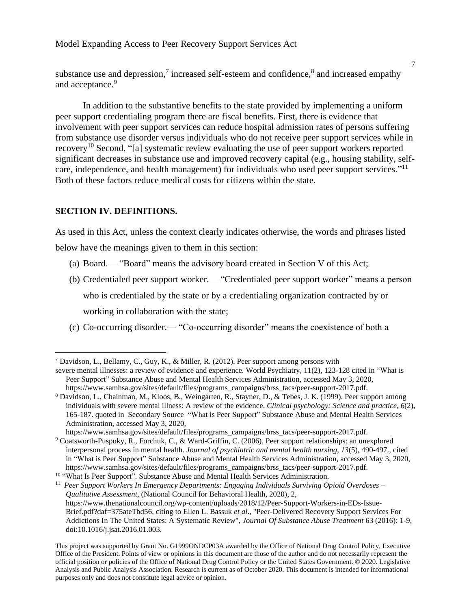substance use and depression,<sup>7</sup> increased self-esteem and confidence,<sup>8</sup> and increased empathy and acceptance.<sup>9</sup>

In addition to the substantive benefits to the state provided by implementing a uniform peer support credentialing program there are fiscal benefits. First, there is evidence that involvement with peer support services can reduce hospital admission rates of persons suffering from substance use disorder versus individuals who do not receive peer support services while in recovery<sup>10</sup> Second, "[a] systematic review evaluating the use of peer support workers reported significant decreases in substance use and improved recovery capital (e.g., housing stability, selfcare, independence, and health management) for individuals who used peer support services."<sup>11</sup> Both of these factors reduce medical costs for citizens within the state.

#### **SECTION IV. DEFINITIONS.**

As used in this Act, unless the context clearly indicates otherwise, the words and phrases listed below have the meanings given to them in this section:

- (a) Board.— "Board" means the advisory board created in Section V of this Act;
- (b) Credentialed peer support worker.— "Credentialed peer support worker" means a person who is credentialed by the state or by a credentialing organization contracted by or working in collaboration with the state;
- (c) Co-occurring disorder.— "Co-occurring disorder" means the coexistence of both a

7

<sup>7</sup> Davidson, L., Bellamy, C., Guy, K., & Miller, R. (2012). Peer support among persons with

severe mental illnesses: a review of evidence and experience. World Psychiatry, 11(2), 123-128 cited in "What is Peer Support" Substance Abuse and Mental Health Services Administration, accessed May 3, 2020, [https://www.samhsa.gov/sites/default/files/programs\\_campaigns/brss\\_tacs/peer-support-2017.pdf.](https://www.samhsa.gov/sites/default/files/programs_campaigns/brss_tacs/peer-support-2017.pdf)

<sup>8</sup> Davidson, L., Chainman, M., Kloos, B., Weingarten, R., Stayner, D., & Tebes, J. K. (1999). Peer support among individuals with severe mental illness: A review of the evidence. *Clinical psychology: Science and practice, 6*(2), 165-187. quoted in Secondary Source "What is Peer Support" Substance Abuse and Mental Health Services Administration, accessed May 3, 2020,

[https://www.samhsa.gov/sites/default/files/programs\\_campaigns/brss\\_tacs/peer-support-2017.pdf.](https://www.samhsa.gov/sites/default/files/programs_campaigns/brss_tacs/peer-support-2017.pdf) <sup>9</sup> Coatsworth-Puspoky, R., Forchuk, C., & Ward-Griffin, C. (2006). Peer support relationships: an unexplored interpersonal process in mental health. *Journal of psychiatric and mental health nursing, 13*(5), 490-497., cited in "What is Peer Support" Substance Abuse and Mental Health Services Administration, accessed May 3, 2020, https://www.samhsa.gov/sites/default/files/programs\_campaigns/brss\_tacs/peer-support-2017.pdf.

<sup>&</sup>lt;sup>10</sup> "What Is Peer Support". Substance Abuse and Mental Health Services Administration.

<sup>11</sup> *Peer Support Workers In Emergency Departments: Engaging Individuals Surviving Opioid Overdoses – Qualitative Assessment*, (National Council for Behavioral Health, 2020), 2, [https://www.thenationalcouncil.org/wp-content/uploads/2018/12/Peer-Support-Workers-in-EDs-Issue-](https://www.thenationalcouncil.org/wp-content/uploads/2018/12/Peer-Support-Workers-in-EDs-Issue-Brief.pdf?daf=375ateTbd56)[Brief.pdf?daf=375ateTbd56,](https://www.thenationalcouncil.org/wp-content/uploads/2018/12/Peer-Support-Workers-in-EDs-Issue-Brief.pdf?daf=375ateTbd56) citing to Ellen L. Bassuk *et al*., "Peer-Delivered Recovery Support Services For Addictions In The United States: A Systematic Review", *Journal Of Substance Abuse Treatment* 63 (2016): 1-9, doi:10.1016/j.jsat.2016.01.003.

This project was supported by Grant No. G1999ONDCP03A awarded by the Office of National Drug Control Policy, Executive Office of the President. Points of view or opinions in this document are those of the author and do not necessarily represent the official position or policies of the Office of National Drug Control Policy or the United States Government. © 2020. Legislative Analysis and Public Analysis Association. Research is current as of October 2020. This document is intended for informational purposes only and does not constitute legal advice or opinion.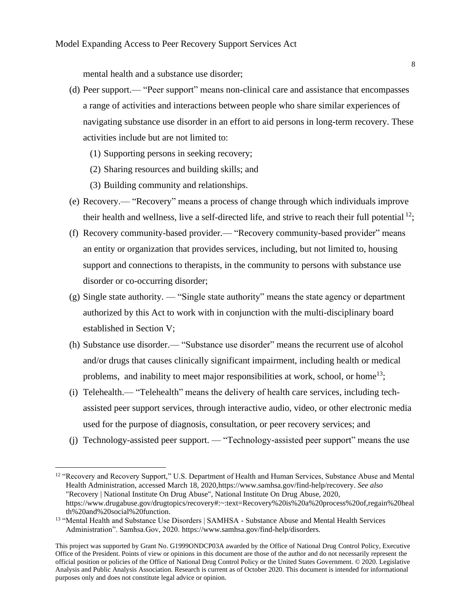mental health and a substance use disorder;

- (d) Peer support.— "Peer support" means non-clinical care and assistance that encompasses a range of activities and interactions between people who share similar experiences of navigating substance use disorder in an effort to aid persons in long-term recovery. These activities include but are not limited to:
	- (1) Supporting persons in seeking recovery;
	- (2) Sharing resources and building skills; and
	- (3) Building community and relationships.
- (e) Recovery.— "Recovery" means a process of change through which individuals improve their health and wellness, live a self-directed life, and strive to reach their full potential  $^{12}$ ;
- (f) Recovery community-based provider.— "Recovery community-based provider" means an entity or organization that provides services, including, but not limited to, housing support and connections to therapists, in the community to persons with substance use disorder or co-occurring disorder;
- (g) Single state authority. "Single state authority" means the state agency or department authorized by this Act to work with in conjunction with the multi-disciplinary board established in Section V;
- (h) Substance use disorder.— "Substance use disorder" means the recurrent use of alcohol and/or drugs that causes clinically significant impairment, including health or medical problems, and inability to meet major responsibilities at work, school, or home<sup>13</sup>;
- (i) Telehealth.— "Telehealth" means the delivery of health care services, including techassisted peer support services, through interactive audio, video, or other electronic media used for the purpose of diagnosis, consultation, or peer recovery services; and
- (j) Technology-assisted peer support. "Technology-assisted peer support" means the use

<sup>&</sup>lt;sup>12</sup> "Recovery and Recovery Support," U.S. Department of Health and Human Services, Substance Abuse and Mental Health Administration, accessed March 18, 2020[,https://www.samhsa.gov/find-help/recovery.](https://www.samhsa.gov/find-help/recovery) *See also*  "Recovery | National Institute On Drug Abuse", National Institute On Drug Abuse, 2020, https://www.drugabuse.gov/drugtopics/recovery#:~:text=Recovery%20is%20a%20process%20of,regain%20heal th%20and%20social%20function.

<sup>&</sup>lt;sup>13</sup> "Mental Health and Substance Use Disorders | SAMHSA - Substance Abuse and Mental Health Services Administration". Samhsa.Gov, 2020. [https://www.samhsa.gov/find-help/disorders.](https://www.samhsa.gov/find-help/disorders)

This project was supported by Grant No. G1999ONDCP03A awarded by the Office of National Drug Control Policy, Executive Office of the President. Points of view or opinions in this document are those of the author and do not necessarily represent the official position or policies of the Office of National Drug Control Policy or the United States Government. © 2020. Legislative Analysis and Public Analysis Association. Research is current as of October 2020. This document is intended for informational purposes only and does not constitute legal advice or opinion.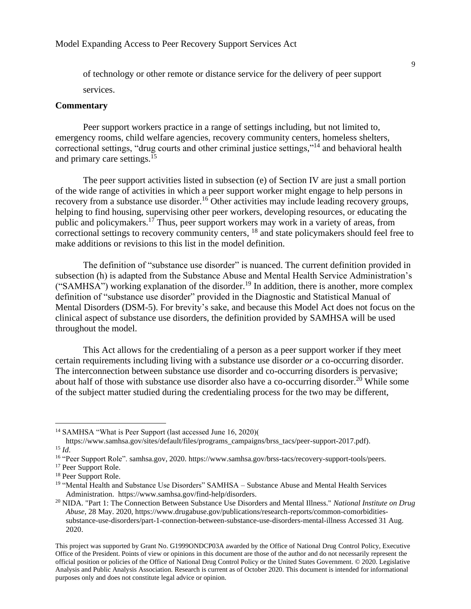of technology or other remote or distance service for the delivery of peer support services.

#### **Commentary**

Peer support workers practice in a range of settings including, but not limited to, emergency rooms, child welfare agencies, recovery community centers, homeless shelters, correctional settings, "drug courts and other criminal justice settings,"<sup>14</sup> and behavioral health and primary care settings.<sup>15</sup>

The peer support activities listed in subsection (e) of Section IV are just a small portion of the wide range of activities in which a peer support worker might engage to help persons in recovery from a substance use disorder.<sup>16</sup> Other activities may include leading recovery groups, helping to find housing, supervising other peer workers, developing resources, or educating the public and policymakers.<sup>17</sup> Thus, peer support workers may work in a variety of areas, from correctional settings to recovery community centers, <sup>18</sup> and state policymakers should feel free to make additions or revisions to this list in the model definition.

The definition of "substance use disorder" is nuanced. The current definition provided in subsection (h) is adapted from the Substance Abuse and Mental Health Service Administration's ("SAMHSA") working explanation of the disorder.<sup>19</sup> In addition, there is another, more complex definition of "substance use disorder" provided in the Diagnostic and Statistical Manual of Mental Disorders (DSM-5). For brevity's sake, and because this Model Act does not focus on the clinical aspect of substance use disorders, the definition provided by SAMHSA will be used throughout the model.

This Act allows for the credentialing of a person as a peer support worker if they meet certain requirements including living with a substance use disorder *or* a co-occurring disorder. The interconnection between substance use disorder and co-occurring disorders is pervasive; about half of those with substance use disorder also have a co-occurring disorder.<sup>20</sup> While some of the subject matter studied during the credentialing process for the two may be different,

<sup>&</sup>lt;sup>14</sup> SAMHSA "What is Peer Support (last accessed June 16, 2020)(

[https://www.samhsa.gov/sites/default/files/programs\\_campaigns/brss\\_tacs/peer-support-2017.pdf\)](https://www.samhsa.gov/sites/default/files/programs_campaigns/brss_tacs/peer-support-2017.pdf). <sup>15</sup> *Id*.

<sup>16</sup> "Peer Support Role". samhsa.gov, 2020. https://www.samhsa.gov/brss-tacs/recovery-support-tools/peers.

<sup>&</sup>lt;sup>17</sup> Peer Support Role.

<sup>18</sup> Peer Support Role.

<sup>&</sup>lt;sup>19</sup> "Mental Health and Substance Use Disorders" SAMHSA – Substance Abuse and Mental Health Services Administration. [https://www.samhsa.gov/find-help/disorders.](https://www.samhsa.gov/find-help/disorders) 

<sup>20</sup> NIDA. "Part 1: The Connection Between Substance Use Disorders and Mental Illness." *National Institute on Drug Abuse*, 28 May. 2020, https://www.drugabuse.gov/publications/research-reports/common-comorbiditiessubstance-use-disorders/part-1-connection-between-substance-use-disorders-mental-illness Accessed 31 Aug. 2020.

This project was supported by Grant No. G1999ONDCP03A awarded by the Office of National Drug Control Policy, Executive Office of the President. Points of view or opinions in this document are those of the author and do not necessarily represent the official position or policies of the Office of National Drug Control Policy or the United States Government. © 2020. Legislative Analysis and Public Analysis Association. Research is current as of October 2020. This document is intended for informational purposes only and does not constitute legal advice or opinion.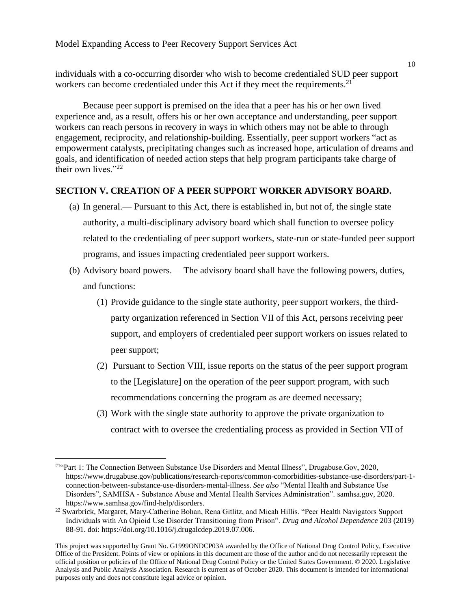individuals with a co-occurring disorder who wish to become credentialed SUD peer support workers can become credentialed under this Act if they meet the requirements.<sup>21</sup>

Because peer support is premised on the idea that a peer has his or her own lived experience and, as a result, offers his or her own acceptance and understanding, peer support workers can reach persons in recovery in ways in which others may not be able to through engagement, reciprocity, and relationship-building. Essentially, peer support workers "act as empowerment catalysts, precipitating changes such as increased hope, articulation of dreams and goals, and identification of needed action steps that help program participants take charge of their own lives."<sup>22</sup>

#### **SECTION V. CREATION OF A PEER SUPPORT WORKER ADVISORY BOARD.**

- (a) In general.— Pursuant to this Act, there is established in, but not of, the single state authority, a multi-disciplinary advisory board which shall function to oversee policy related to the credentialing of peer support workers, state-run or state-funded peer support programs, and issues impacting credentialed peer support workers.
- (b) Advisory board powers.— The advisory board shall have the following powers, duties, and functions:
	- (1) Provide guidance to the single state authority, peer support workers, the thirdparty organization referenced in Section VII of this Act, persons receiving peer support, and employers of credentialed peer support workers on issues related to peer support;
	- (2) Pursuant to Section VIII, issue reports on the status of the peer support program to the [Legislature] on the operation of the peer support program, with such recommendations concerning the program as are deemed necessary;
	- (3) Work with the single state authority to approve the private organization to contract with to oversee the credentialing process as provided in Section VII of

<sup>21</sup>"Part 1: The Connection Between Substance Use Disorders and Mental Illness", Drugabuse.Gov, 2020, [https://www.drugabuse.gov/publications/research-reports/common-comorbidities-substance-use-disorders/part-1](https://www.drugabuse.gov/publications/research-reports/common-comorbidities-substance-use-disorders/part-1-connection-between-substance-use-disorders-mental-illness) [connection-between-substance-use-disorders-mental-illness.](https://www.drugabuse.gov/publications/research-reports/common-comorbidities-substance-use-disorders/part-1-connection-between-substance-use-disorders-mental-illness) *See also* "Mental Health and Substance Use Disorders", SAMHSA - Substance Abuse and Mental Health Services Administration". samhsa.gov, 2020. https://www.samhsa.gov/find-help/disorders.

<sup>&</sup>lt;sup>22</sup> Swarbrick, Margaret, Mary-Catherine Bohan, Rena Gitlitz, and Micah Hillis. "Peer Health Navigators Support Individuals with An Opioid Use Disorder Transitioning from Prison". *Drug and Alcohol Dependence* 203 (2019) 88-91. doi: https://doi.org/10.1016/j.drugalcdep.2019.07.006.

This project was supported by Grant No. G1999ONDCP03A awarded by the Office of National Drug Control Policy, Executive Office of the President. Points of view or opinions in this document are those of the author and do not necessarily represent the official position or policies of the Office of National Drug Control Policy or the United States Government. © 2020. Legislative Analysis and Public Analysis Association. Research is current as of October 2020. This document is intended for informational purposes only and does not constitute legal advice or opinion.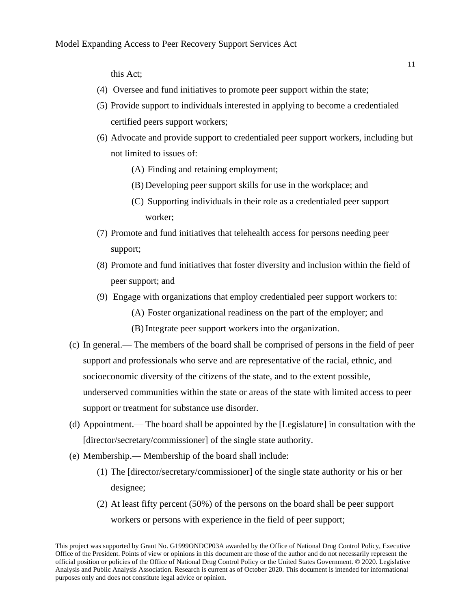this Act;

- (4) Oversee and fund initiatives to promote peer support within the state;
- (5) Provide support to individuals interested in applying to become a credentialed certified peers support workers;
- (6) Advocate and provide support to credentialed peer support workers, including but not limited to issues of:
	- (A) Finding and retaining employment;
	- (B) Developing peer support skills for use in the workplace; and
	- (C) Supporting individuals in their role as a credentialed peer support worker;
- (7) Promote and fund initiatives that telehealth access for persons needing peer support;
- (8) Promote and fund initiatives that foster diversity and inclusion within the field of peer support; and
- (9) Engage with organizations that employ credentialed peer support workers to:
	- (A) Foster organizational readiness on the part of the employer; and
	- (B) Integrate peer support workers into the organization.
- (c) In general.— The members of the board shall be comprised of persons in the field of peer support and professionals who serve and are representative of the racial, ethnic, and socioeconomic diversity of the citizens of the state, and to the extent possible, underserved communities within the state or areas of the state with limited access to peer support or treatment for substance use disorder.
- (d) Appointment.— The board shall be appointed by the [Legislature] in consultation with the [director/secretary/commissioner] of the single state authority.
- (e) Membership.— Membership of the board shall include:
	- (1) The [director/secretary/commissioner] of the single state authority or his or her designee;
	- (2) At least fifty percent (50%) of the persons on the board shall be peer support workers or persons with experience in the field of peer support;

This project was supported by Grant No. G1999ONDCP03A awarded by the Office of National Drug Control Policy, Executive Office of the President. Points of view or opinions in this document are those of the author and do not necessarily represent the official position or policies of the Office of National Drug Control Policy or the United States Government. © 2020. Legislative Analysis and Public Analysis Association. Research is current as of October 2020. This document is intended for informational purposes only and does not constitute legal advice or opinion.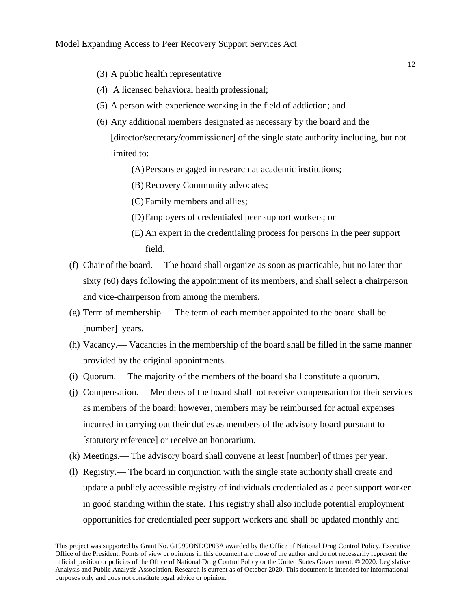- (3) A public health representative
- (4) A licensed behavioral health professional;
- (5) A person with experience working in the field of addiction; and
- (6) Any additional members designated as necessary by the board and the [director/secretary/commissioner] of the single state authority including, but not limited to:
	- (A)Persons engaged in research at academic institutions;
	- (B) Recovery Community advocates;
	- (C) Family members and allies;
	- (D)Employers of credentialed peer support workers; or
	- (E) An expert in the credentialing process for persons in the peer support field.
- (f) Chair of the board.— The board shall organize as soon as practicable, but no later than sixty (60) days following the appointment of its members, and shall select a chairperson and vice-chairperson from among the members.
- (g) Term of membership.— The term of each member appointed to the board shall be [number] years.
- (h) Vacancy.— Vacancies in the membership of the board shall be filled in the same manner provided by the original appointments.
- (i) Quorum.— The majority of the members of the board shall constitute a quorum.
- (j) Compensation.— Members of the board shall not receive compensation for their services as members of the board; however, members may be reimbursed for actual expenses incurred in carrying out their duties as members of the advisory board pursuant to [statutory reference] or receive an honorarium.
- (k) Meetings.— The advisory board shall convene at least [number] of times per year.
- (l) Registry.— The board in conjunction with the single state authority shall create and update a publicly accessible registry of individuals credentialed as a peer support worker in good standing within the state. This registry shall also include potential employment opportunities for credentialed peer support workers and shall be updated monthly and

This project was supported by Grant No. G1999ONDCP03A awarded by the Office of National Drug Control Policy, Executive Office of the President. Points of view or opinions in this document are those of the author and do not necessarily represent the official position or policies of the Office of National Drug Control Policy or the United States Government. © 2020. Legislative Analysis and Public Analysis Association. Research is current as of October 2020. This document is intended for informational purposes only and does not constitute legal advice or opinion.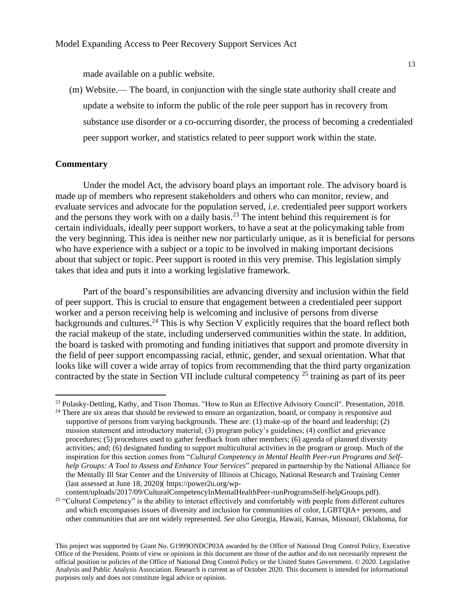made available on a public website.

(m) Website.— The board, in conjunction with the single state authority shall create and update a website to inform the public of the role peer support has in recovery from substance use disorder or a co-occurring disorder, the process of becoming a credentialed peer support worker, and statistics related to peer support work within the state.

#### **Commentary**

Under the model Act, the advisory board plays an important role. The advisory board is made up of members who represent stakeholders and others who can monitor, review, and evaluate services and advocate for the population served, *i.e*. credentialed peer support workers and the persons they work with on a daily basis.<sup>23</sup> The intent behind this requirement is for certain individuals, ideally peer support workers, to have a seat at the policymaking table from the very beginning. This idea is neither new nor particularly unique, as it is beneficial for persons who have experience with a subject or a topic to be involved in making important decisions about that subject or topic. Peer support is rooted in this very premise. This legislation simply takes that idea and puts it into a working legislative framework.

Part of the board's responsibilities are advancing diversity and inclusion within the field of peer support. This is crucial to ensure that engagement between a credentialed peer support worker and a person receiving help is welcoming and inclusive of persons from diverse backgrounds and cultures.<sup>24</sup> This is why Section V explicitly requires that the board reflect both the racial makeup of the state, including underserved communities within the state. In addition, the board is tasked with promoting and funding initiatives that support and promote diversity in the field of peer support encompassing racial, ethnic, gender, and sexual orientation. What that looks like will cover a wide array of topics from recommending that the third party organization contracted by the state in Section VII include cultural competency <sup>25</sup> training as part of its peer

<sup>&</sup>lt;sup>23</sup> Polasky-Dettling, Kathy, and Tison Thomas. "How to Run an Effective Advisory Council". Presentation, 2018.

<sup>&</sup>lt;sup>24</sup> There are six areas that should be reviewed to ensure an organization, board, or company is responsive and supportive of persons from varying backgrounds. These are: (1) make-up of the board and leadership; (2) mission statement and introductory material; (3) program policy's guidelines; (4) conflict and grievance procedures; (5) procedures used to gather feedback from other members; (6) agenda of planned diversity activities; and; (6) designated funding to support multicultural activities in the program or group. Much of the inspiration for this section comes from "*Cultural Competency in Mental Health Peer-run Programs and Selfhelp Groups: A Tool to Assess and Enhance Your Services*" prepared in partnership by the National Alliance for the Mentally Ill Star Center and the University of Illinois at Chicago, National Research and Training Center (last assessed at June 18, 2020)( [https://power2u.org/wp-](https://power2u.org/wp-content/uploads/2017/09/CulturalCompetencyInMentalHealthPeer-runProgramsSelf-helpGroups.pdf)

[content/uploads/2017/09/CulturalCompetencyInMentalHealthPeer-runProgramsSelf-helpGroups.pdf\)](https://power2u.org/wp-content/uploads/2017/09/CulturalCompetencyInMentalHealthPeer-runProgramsSelf-helpGroups.pdf). <sup>25</sup> "Cultural Competency" is the ability to interact effectively and comfortably with people from different cultures and which encompasses issues of diversity and inclusion for communities of color, LGBTQIA+ persons, and other communities that are not widely represented. *See also* Georgia, Hawaii, Kansas, Missouri, Oklahoma, for

This project was supported by Grant No. G1999ONDCP03A awarded by the Office of National Drug Control Policy, Executive Office of the President. Points of view or opinions in this document are those of the author and do not necessarily represent the official position or policies of the Office of National Drug Control Policy or the United States Government. © 2020. Legislative Analysis and Public Analysis Association. Research is current as of October 2020. This document is intended for informational purposes only and does not constitute legal advice or opinion.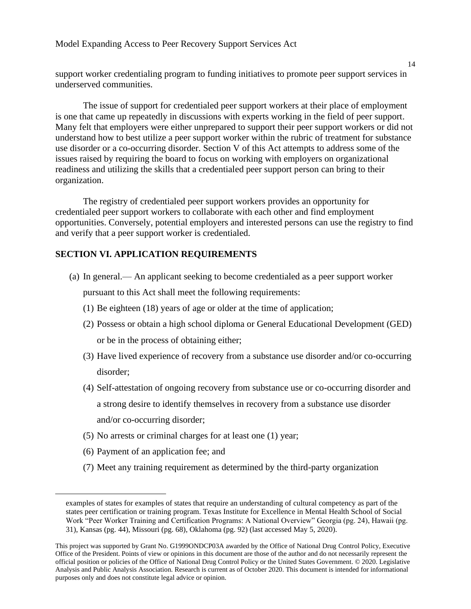support worker credentialing program to funding initiatives to promote peer support services in underserved communities.

The issue of support for credentialed peer support workers at their place of employment is one that came up repeatedly in discussions with experts working in the field of peer support. Many felt that employers were either unprepared to support their peer support workers or did not understand how to best utilize a peer support worker within the rubric of treatment for substance use disorder or a co-occurring disorder. Section V of this Act attempts to address some of the issues raised by requiring the board to focus on working with employers on organizational readiness and utilizing the skills that a credentialed peer support person can bring to their organization.

The registry of credentialed peer support workers provides an opportunity for credentialed peer support workers to collaborate with each other and find employment opportunities. Conversely, potential employers and interested persons can use the registry to find and verify that a peer support worker is credentialed.

#### **SECTION VI. APPLICATION REQUIREMENTS**

- (a) In general.— An applicant seeking to become credentialed as a peer support worker pursuant to this Act shall meet the following requirements:
	- (1) Be eighteen (18) years of age or older at the time of application;
	- (2) Possess or obtain a high school diploma or General Educational Development (GED) or be in the process of obtaining either;
	- (3) Have lived experience of recovery from a substance use disorder and/or co-occurring disorder;
	- (4) Self-attestation of ongoing recovery from substance use or co-occurring disorder and a strong desire to identify themselves in recovery from a substance use disorder and/or co-occurring disorder;
	- (5) No arrests or criminal charges for at least one (1) year;
	- (6) Payment of an application fee; and
	- (7) Meet any training requirement as determined by the third-party organization

14

examples of states for examples of states that require an understanding of cultural competency as part of the states peer certification or training program. Texas Institute for Excellence in Mental Health School of Social Work "Peer Worker Training and Certification Programs: A National Overview" Georgia (pg. 24), Hawaii (pg. 31), Kansas (pg. 44), Missouri (pg. 68), Oklahoma (pg. 92) (last accessed May 5, 2020).

This project was supported by Grant No. G1999ONDCP03A awarded by the Office of National Drug Control Policy, Executive Office of the President. Points of view or opinions in this document are those of the author and do not necessarily represent the official position or policies of the Office of National Drug Control Policy or the United States Government. © 2020. Legislative Analysis and Public Analysis Association. Research is current as of October 2020. This document is intended for informational purposes only and does not constitute legal advice or opinion.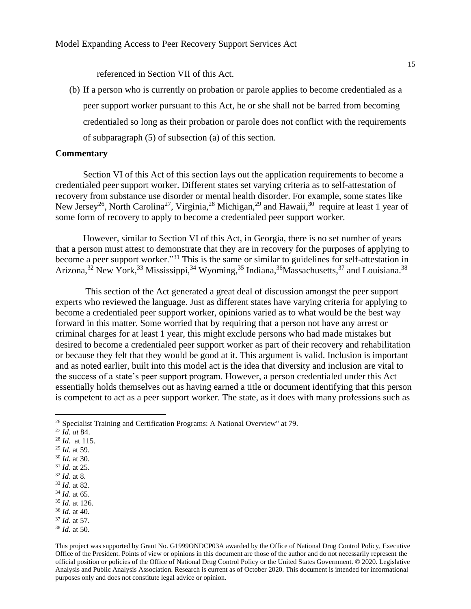referenced in Section VII of this Act.

(b) If a person who is currently on probation or parole applies to become credentialed as a peer support worker pursuant to this Act, he or she shall not be barred from becoming credentialed so long as their probation or parole does not conflict with the requirements of subparagraph (5) of subsection (a) of this section.

#### **Commentary**

Section VI of this Act of this section lays out the application requirements to become a credentialed peer support worker. Different states set varying criteria as to self-attestation of recovery from substance use disorder or mental health disorder. For example, some states like New Jersey<sup>26</sup>, North Carolina<sup>27</sup>, Virginia,<sup>28</sup> Michigan,<sup>29</sup> and Hawaii,<sup>30</sup> require at least 1 year of some form of recovery to apply to become a credentialed peer support worker.

However, similar to Section VI of this Act, in Georgia, there is no set number of years that a person must attest to demonstrate that they are in recovery for the purposes of applying to become a peer support worker."<sup>31</sup> This is the same or similar to guidelines for self-attestation in Arizona,<sup>32</sup> New York,<sup>33</sup> Mississippi,<sup>34</sup> Wyoming,<sup>35</sup> Indiana,<sup>36</sup> Massachusetts,<sup>37</sup> and Louisiana.<sup>38</sup>

This section of the Act generated a great deal of discussion amongst the peer support experts who reviewed the language. Just as different states have varying criteria for applying to become a credentialed peer support worker, opinions varied as to what would be the best way forward in this matter. Some worried that by requiring that a person not have any arrest or criminal charges for at least 1 year, this might exclude persons who had made mistakes but desired to become a credentialed peer support worker as part of their recovery and rehabilitation or because they felt that they would be good at it. This argument is valid. Inclusion is important and as noted earlier, built into this model act is the idea that diversity and inclusion are vital to the success of a state's peer support program. However, a person credentialed under this Act essentially holds themselves out as having earned a title or document identifying that this person is competent to act as a peer support worker. The state, as it does with many professions such as

- <sup>27</sup> *Id. at* 84.
- <sup>28</sup> *Id.* at 115.
- <sup>29</sup> *Id*. at 59.
- <sup>30</sup> *Id.* at 30.
- <sup>31</sup> *Id*. at 25.
- <sup>32</sup> *Id*. at 8.
- <sup>33</sup> *Id*. at 82.
- <sup>34</sup> *Id*. at 65.
- <sup>35</sup> *Id.* at 126.
- <sup>36</sup> *Id*. at 40.
- <sup>37</sup> *Id*. at 57.
- <sup>38</sup> *Id.* at 50.

<sup>26</sup> Specialist Training and Certification Programs: A National Overview" at 79.

This project was supported by Grant No. G1999ONDCP03A awarded by the Office of National Drug Control Policy, Executive Office of the President. Points of view or opinions in this document are those of the author and do not necessarily represent the official position or policies of the Office of National Drug Control Policy or the United States Government. © 2020. Legislative Analysis and Public Analysis Association. Research is current as of October 2020. This document is intended for informational purposes only and does not constitute legal advice or opinion.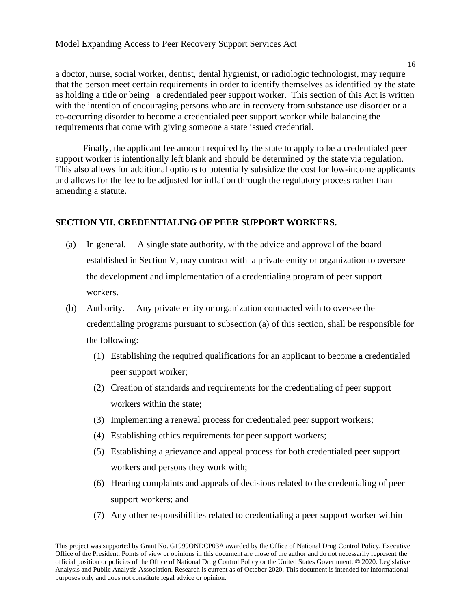a doctor, nurse, social worker, dentist, dental hygienist, or radiologic technologist, may require that the person meet certain requirements in order to identify themselves as identified by the state as holding a title or being a credentialed peer support worker. This section of this Act is written with the intention of encouraging persons who are in recovery from substance use disorder or a co-occurring disorder to become a credentialed peer support worker while balancing the requirements that come with giving someone a state issued credential.

Finally, the applicant fee amount required by the state to apply to be a credentialed peer support worker is intentionally left blank and should be determined by the state via regulation. This also allows for additional options to potentially subsidize the cost for low-income applicants and allows for the fee to be adjusted for inflation through the regulatory process rather than amending a statute.

#### **SECTION VII. CREDENTIALING OF PEER SUPPORT WORKERS.**

- (a) In general.— A single state authority, with the advice and approval of the board established in Section V, may contract with a private entity or organization to oversee the development and implementation of a credentialing program of peer support workers.
- (b) Authority.— Any private entity or organization contracted with to oversee the credentialing programs pursuant to subsection (a) of this section, shall be responsible for the following:
	- (1) Establishing the required qualifications for an applicant to become a credentialed peer support worker;
	- (2) Creation of standards and requirements for the credentialing of peer support workers within the state;
	- (3) Implementing a renewal process for credentialed peer support workers;
	- (4) Establishing ethics requirements for peer support workers;
	- (5) Establishing a grievance and appeal process for both credentialed peer support workers and persons they work with;
	- (6) Hearing complaints and appeals of decisions related to the credentialing of peer support workers; and
	- (7) Any other responsibilities related to credentialing a peer support worker within

This project was supported by Grant No. G1999ONDCP03A awarded by the Office of National Drug Control Policy, Executive Office of the President. Points of view or opinions in this document are those of the author and do not necessarily represent the official position or policies of the Office of National Drug Control Policy or the United States Government. © 2020. Legislative Analysis and Public Analysis Association. Research is current as of October 2020. This document is intended for informational purposes only and does not constitute legal advice or opinion.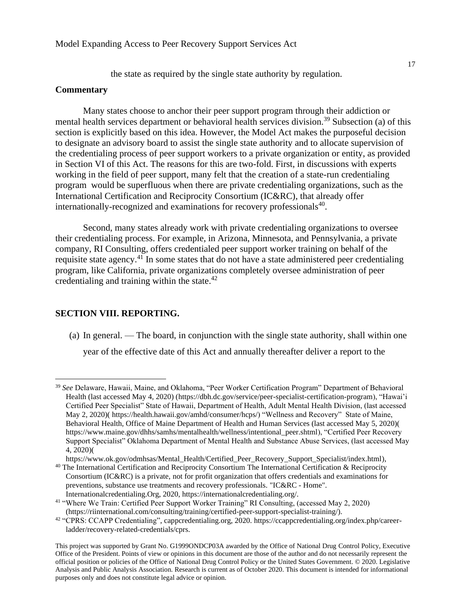the state as required by the single state authority by regulation.

#### **Commentary**

Many states choose to anchor their peer support program through their addiction or mental health services department or behavioral health services division.<sup>39</sup> Subsection (a) of this section is explicitly based on this idea. However, the Model Act makes the purposeful decision to designate an advisory board to assist the single state authority and to allocate supervision of the credentialing process of peer support workers to a private organization or entity, as provided in Section VI of this Act. The reasons for this are two-fold. First, in discussions with experts working in the field of peer support, many felt that the creation of a state-run credentialing program would be superfluous when there are private credentialing organizations, such as the International Certification and Reciprocity Consortium (IC&RC), that already offer internationally-recognized and examinations for recovery professionals<sup>40</sup>.

Second, many states already work with private credentialing organizations to oversee their credentialing process. For example, in Arizona, Minnesota, and Pennsylvania, a private company, RI Consulting, offers credentialed peer support worker training on behalf of the requisite state agency.<sup>41</sup> In some states that do not have a state administered peer credentialing program, like California, private organizations completely oversee administration of peer credentialing and training within the state. $42$ 

#### **SECTION VIII. REPORTING.**

(a) In general. — The board, in conjunction with the single state authority, shall within one

year of the effective date of this Act and annually thereafter deliver a report to the

<sup>39</sup> *See* Delaware, Hawaii, Maine, and Oklahoma, "Peer Worker Certification Program" Department of Behavioral Health (last accessed May 4, 2020) [\(https://dbh.dc.gov/service/peer-specialist-certification-program\)](https://dbh.dc.gov/service/peer-specialist-certification-program), "Hawai'i Certified Peer Specialist" State of Hawaii, Department of Health, Adult Mental Health Division, (last accessed May 2, 2020)[\( https://health.hawaii.gov/amhd/consumer/hcps/\)](https://health.hawaii.gov/amhd/consumer/hcps/) "Wellness and Recovery" State of Maine, Behavioral Health, Office of Maine Department of Health and Human Services (last accessed May 5, 2020)( [https://www.maine.gov/dhhs/samhs/mentalhealth/wellness/intentional\\_peer.shtml\)](https://www.maine.gov/dhhs/samhs/mentalhealth/wellness/intentional_peer.shtml), "Certified Peer Recovery Support Specialist" Oklahoma Department of Mental Health and Substance Abuse Services, (last accessed May 4, 2020)(

[https://www.ok.gov/odmhsas/Mental\\_Health/Certified\\_Peer\\_Recovery\\_Support\\_Specialist/index.html\)](https://www.ok.gov/odmhsas/Mental_Health/Certified_Peer_Recovery_Support_Specialist/index.html), <sup>40</sup> The International Certification and Reciprocity Consortium The International Certification & Reciprocity

Consortium (IC&RC) is a private, not for profit organization that offers credentials and examinations for preventions, substance use treatments and recovery professionals. "IC&RC - Home". Internationalcredentialing.Org, 2020, https://internationalcredentialing.org/.

<sup>41</sup> "Where We Train: Certified Peer Support Worker Training" RI Consulting, (accessed May 2, 2020)

[<sup>\(</sup>https://riinternational.com/consulting/training/certified-peer-support-specialist-training/\)](https://riinternational.com/consulting/training/certified-peer-support-specialist-training/).

<sup>42</sup> "CPRS: CCAPP Credentialing", cappcredentialing.org, 2020. https://ccappcredentialing.org/index.php/careerladder/recovery-related-credentials/cprs.

This project was supported by Grant No. G1999ONDCP03A awarded by the Office of National Drug Control Policy, Executive Office of the President. Points of view or opinions in this document are those of the author and do not necessarily represent the official position or policies of the Office of National Drug Control Policy or the United States Government. © 2020. Legislative Analysis and Public Analysis Association. Research is current as of October 2020. This document is intended for informational purposes only and does not constitute legal advice or opinion.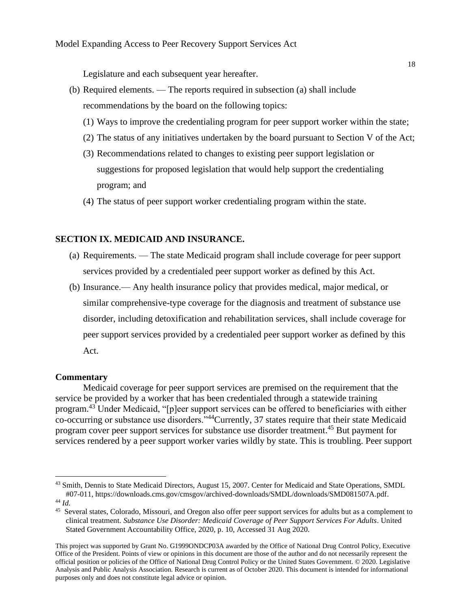Legislature and each subsequent year hereafter.

- (b) Required elements. The reports required in subsection (a) shall include recommendations by the board on the following topics:
	- (1) Ways to improve the credentialing program for peer support worker within the state;
	- (2) The status of any initiatives undertaken by the board pursuant to Section V of the Act;
	- (3) Recommendations related to changes to existing peer support legislation or suggestions for proposed legislation that would help support the credentialing program; and
	- (4) The status of peer support worker credentialing program within the state.

#### **SECTION IX. MEDICAID AND INSURANCE.**

- (a) Requirements. The state Medicaid program shall include coverage for peer support services provided by a credentialed peer support worker as defined by this Act.
- (b) Insurance.— Any health insurance policy that provides medical, major medical, or similar comprehensive-type coverage for the diagnosis and treatment of substance use disorder, including detoxification and rehabilitation services, shall include coverage for peer support services provided by a credentialed peer support worker as defined by this Act.

#### **Commentary**

Medicaid coverage for peer support services are premised on the requirement that the service be provided by a worker that has been credentialed through a statewide training program.<sup>43</sup> Under Medicaid, "[p]eer support services can be offered to beneficiaries with either co-occurring or substance use disorders."<sup>44</sup>Currently, 37 states require that their state Medicaid program cover peer support services for substance use disorder treatment.<sup>45</sup> But payment for services rendered by a peer support worker varies wildly by state. This is troubling. Peer support

<sup>&</sup>lt;sup>43</sup> Smith, Dennis to State Medicaid Directors, August 15, 2007. Center for Medicaid and State Operations, SMDL #07-011, [https://downloads.cms.gov/cmsgov/archived-downloads/SMDL/downloads/SMD081507A.pdf.](https://downloads.cms.gov/cmsgov/archived-downloads/SMDL/downloads/SMD081507A.pdf) <sup>44</sup> *Id.* 

<sup>&</sup>lt;sup>45</sup> Several states, Colorado, Missouri, and Oregon also offer peer support services for adults but as a complement to clinical treatment. *Substance Use Disorder: Medicaid Coverage of Peer Support Services For Adults*. United Stated Government Accountability Office, 2020, p. 10, Accessed 31 Aug 2020.

This project was supported by Grant No. G1999ONDCP03A awarded by the Office of National Drug Control Policy, Executive Office of the President. Points of view or opinions in this document are those of the author and do not necessarily represent the official position or policies of the Office of National Drug Control Policy or the United States Government. © 2020. Legislative Analysis and Public Analysis Association. Research is current as of October 2020. This document is intended for informational purposes only and does not constitute legal advice or opinion.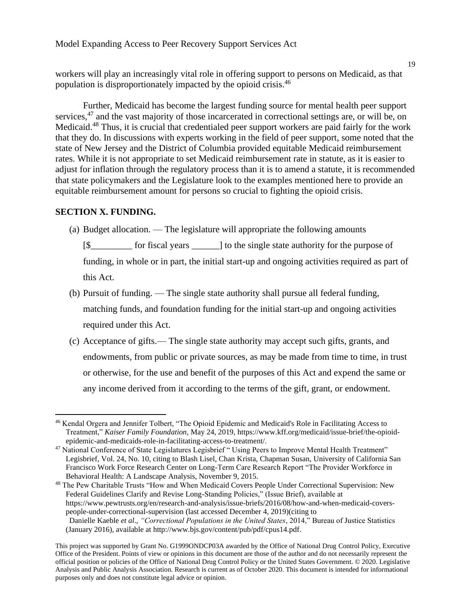workers will play an increasingly vital role in offering support to persons on Medicaid, as that population is disproportionately impacted by the opioid crisis.<sup>46</sup>

Further, Medicaid has become the largest funding source for mental health peer support services,<sup>47</sup> and the vast majority of those incarcerated in correctional settings are, or will be, on Medicaid.<sup>48</sup> Thus, it is crucial that credentialed peer support workers are paid fairly for the work that they do. In discussions with experts working in the field of peer support, some noted that the state of New Jersey and the District of Columbia provided equitable Medicaid reimbursement rates. While it is not appropriate to set Medicaid reimbursement rate in statute, as it is easier to adjust for inflation through the regulatory process than it is to amend a statute, it is recommended that state policymakers and the Legislature look to the examples mentioned here to provide an equitable reimbursement amount for persons so crucial to fighting the opioid crisis.

#### **SECTION X. FUNDING.**

(a) Budget allocation. — The legislature will appropriate the following amounts

- (b) Pursuit of funding. The single state authority shall pursue all federal funding, matching funds, and foundation funding for the initial start-up and ongoing activities required under this Act.
- (c) Acceptance of gifts.— The single state authority may accept such gifts, grants, and endowments, from public or private sources, as may be made from time to time, in trust or otherwise, for the use and benefit of the purposes of this Act and expend the same or any income derived from it according to the terms of the gift, grant, or endowment.

<sup>48</sup> The Pew Charitable Trusts "How and When Medicaid Covers People Under Correctional Supervision: New Federal Guidelines Clarify and Revise Long-Standing Policies," (Issue Brief), available at [https://www.pewtrusts.org/en/research-and-analysis/issue-briefs/2016/08/how-and-when-medicaid-covers](https://www.pewtrusts.org/en/research-and-analysis/issue-briefs/2016/08/how-and-when-medicaid-covers-people-under-correctional-supervision)[people-under-correctional-supervision](https://www.pewtrusts.org/en/research-and-analysis/issue-briefs/2016/08/how-and-when-medicaid-covers-people-under-correctional-supervision) (last accessed December 4, 2019)(citing to Danielle Kaeble *et al*., *"Correctional Populations in the United States*, 2014," Bureau of Justice Statistics (January 2016), available at [http://www.bjs.gov/content/pub/pdf/cpus14.pdf.](http://www.bjs.gov/content/pub/pdf/cpus14.pdf)

<sup>[\$</sup>\_\_\_\_\_\_\_\_\_ for fiscal years \_\_\_\_\_\_] to the single state authority for the purpose of funding, in whole or in part, the initial start-up and ongoing activities required as part of this Act.

<sup>46</sup> Kendal Orgera and Jennifer Tolbert, "The Opioid Epidemic and Medicaid's Role in Facilitating Access to Treatment," *Kaiser Family Foundation*, May 24, 2019[, https://www.kff.org/medicaid/issue-brief/the-opioid](https://www.kff.org/medicaid/issue-brief/the-opioid-epidemic-and-medicaids-role-in-facilitating-access-to-treatment/)[epidemic-and-medicaids-role-in-facilitating-access-to-treatment/.](https://www.kff.org/medicaid/issue-brief/the-opioid-epidemic-and-medicaids-role-in-facilitating-access-to-treatment/) 

<sup>&</sup>lt;sup>47</sup> National Conference of State Legislatures Legisbrief " Using Peers to Improve Mental Health Treatment" Legisbrief, Vol. 24, No. 10, citing to Blash Lisel, Chan Krista, Chapman Susan, University of California San Francisco Work Force Research Center on Long-Term Care Research Report "The Provider Workforce in Behavioral Health: A Landscape Analysis, November 9, 2015.

This project was supported by Grant No. G1999ONDCP03A awarded by the Office of National Drug Control Policy, Executive Office of the President. Points of view or opinions in this document are those of the author and do not necessarily represent the official position or policies of the Office of National Drug Control Policy or the United States Government. © 2020. Legislative Analysis and Public Analysis Association. Research is current as of October 2020. This document is intended for informational purposes only and does not constitute legal advice or opinion.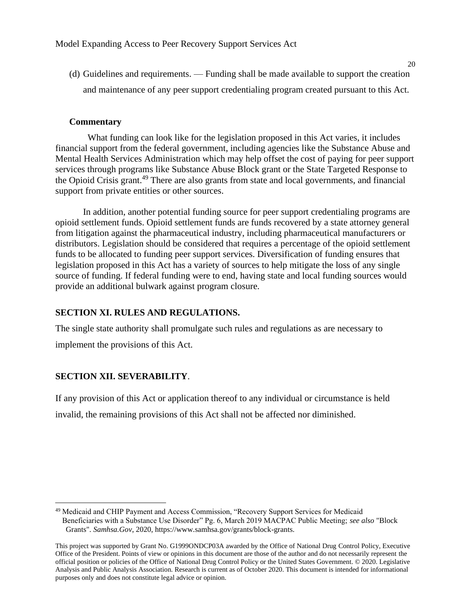(d) Guidelines and requirements. — Funding shall be made available to support the creation and maintenance of any peer support credentialing program created pursuant to this Act.

#### **Commentary**

What funding can look like for the legislation proposed in this Act varies, it includes financial support from the federal government, including agencies like the Substance Abuse and Mental Health Services Administration which may help offset the cost of paying for peer support services through programs like Substance Abuse Block grant or the State Targeted Response to the Opioid Crisis grant.<sup>49</sup> There are also grants from state and local governments, and financial support from private entities or other sources.

In addition, another potential funding source for peer support credentialing programs are opioid settlement funds. Opioid settlement funds are funds recovered by a state attorney general from litigation against the pharmaceutical industry, including pharmaceutical manufacturers or distributors. Legislation should be considered that requires a percentage of the opioid settlement funds to be allocated to funding peer support services. Diversification of funding ensures that legislation proposed in this Act has a variety of sources to help mitigate the loss of any single source of funding. If federal funding were to end, having state and local funding sources would provide an additional bulwark against program closure.

#### **SECTION XI. RULES AND REGULATIONS.**

The single state authority shall promulgate such rules and regulations as are necessary to implement the provisions of this Act.

#### **SECTION XII. SEVERABILITY**.

If any provision of this Act or application thereof to any individual or circumstance is held invalid, the remaining provisions of this Act shall not be affected nor diminished.

<sup>&</sup>lt;sup>49</sup> Medicaid and CHIP Payment and Access Commission, "Recovery Support Services for Medicaid Beneficiaries with a Substance Use Disorder" Pg. 6, March 2019 MACPAC Public Meeting; *see also* "Block Grants". *Samhsa.Gov*, 2020, https://www.samhsa.gov/grants/block-grants.

This project was supported by Grant No. G1999ONDCP03A awarded by the Office of National Drug Control Policy, Executive Office of the President. Points of view or opinions in this document are those of the author and do not necessarily represent the official position or policies of the Office of National Drug Control Policy or the United States Government. © 2020. Legislative Analysis and Public Analysis Association. Research is current as of October 2020. This document is intended for informational purposes only and does not constitute legal advice or opinion.